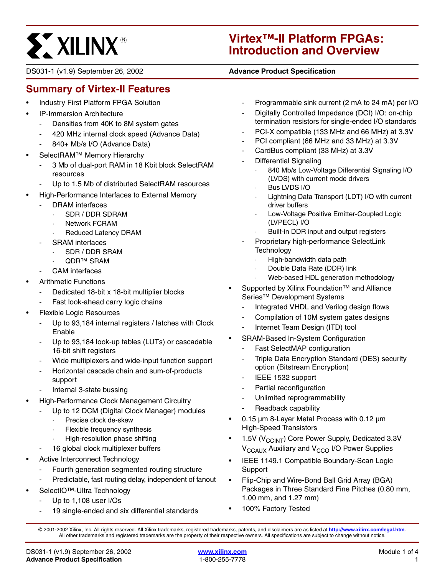# **ST XILINX®**

# **Virtex™-II Platform FPGAs: Introduction and Overview**

DS031-1 (v1.9) September 26, 2002 **0 00 Advance Product Specification** 

# <span id="page-0-0"></span>**Summary of Virtex-II Features**

- Industry First Platform FPGA Solution
- IP-Immersion Architecture
	- Densities from 40K to 8M system gates
	- 420 MHz internal clock speed (Advance Data)
	- 840+ Mb/s I/O (Advance Data)
- SelectRAM<sup>™</sup> Memory Hierarchy
	- 3 Mb of dual-port RAM in 18 Kbit block SelectRAM resources
	- Up to 1.5 Mb of distributed SelectRAM resources
- High-Performance Interfaces to External Memory
	- DRAM interfaces
		- · SDR / DDR SDRAM
		- **Network FCRAM**
		- Reduced Latency DRAM
	- SRAM interfaces
		- · SDR / DDR SRAM
		- QDR™ SRAM
	- CAM interfaces
- Arithmetic Functions
	- Dedicated 18-bit x 18-bit multiplier blocks
	- Fast look-ahead carry logic chains
- Flexible Logic Resources
	- Up to 93,184 internal registers / latches with Clock Enable
	- Up to 93,184 look-up tables (LUTs) or cascadable 16-bit shift registers
	- Wide multiplexers and wide-input function support
	- Horizontal cascade chain and sum-of-products support
	- Internal 3-state bussing
- High-Performance Clock Management Circuitry
	- Up to 12 DCM (Digital Clock Manager) modules
		- Precise clock de-skew
		- Flexible frequency synthesis
		- · High-resolution phase shifting
	- 16 global clock multiplexer buffers
- Active Interconnect Technology
	- Fourth generation segmented routing structure
	- Predictable, fast routing delay, independent of fanout
- SelectIO™-Ultra Technology
	- Up to 1,108 user I/Os
	- 19 single-ended and six differential standards
- Programmable sink current (2 mA to 24 mA) per I/O
- Digitally Controlled Impedance (DCI) I/O: on-chip termination resistors for single-ended I/O standards
- PCI-X compatible (133 MHz and 66 MHz) at 3.3V
- PCI compliant (66 MHz and 33 MHz) at 3.3V
- CardBus compliant (33 MHz) at 3.3V
- Differential Signaling
	- 840 Mb/s Low-Voltage Differential Signaling I/O (LVDS) with current mode drivers
	- Bus LVDS I/O
	- Lightning Data Transport (LDT) I/O with current driver buffers
	- Low-Voltage Positive Emitter-Coupled Logic (LVPECL) I/O
	- Built-in DDR input and output registers
- Proprietary high-performance SelectLink **Technology** 
	- High-bandwidth data path
	- Double Data Rate (DDR) link
	- Web-based HDL generation methodology
- Supported by Xilinx Foundation™ and Alliance Series™ Development Systems
	- Integrated VHDL and Verilog design flows
	- Compilation of 10M system gates designs
	- Internet Team Design (ITD) tool
- SRAM-Based In-System Configuration
	- Fast SelectMAP configuration
	- Triple Data Encryption Standard (DES) security option (Bitstream Encryption)
	- IEEE 1532 support
	- Partial reconfiguration
	- Unlimited reprogrammability
	- Readback capability
- 0.15 µm 8-Layer Metal Process with 0.12 µm High-Speed Transistors
- 1.5V ( $V_{CClNT}$ ) Core Power Supply, Dedicated 3.3V V<sub>CCAUX</sub> Auxiliary and V<sub>CCO</sub> I/O Power Supplies
- IEEE 1149.1 Compatible Boundary-Scan Logic Support
- Flip-Chip and Wire-Bond Ball Grid Array (BGA) Packages in Three Standard Fine Pitches (0.80 mm, 1.00 mm, and 1.27 mm)
- 100% Factory Tested

© 2001-2002 Xilinx, Inc. All rights reserved. All Xilinx trademarks, registered trademarks, patents, and disclaimers are as listed at **<http://www.xilinx.com/legal.htm>**. All other trademarks and registered trademarks are the property of their respective owners. All specifications are subject to change without notice.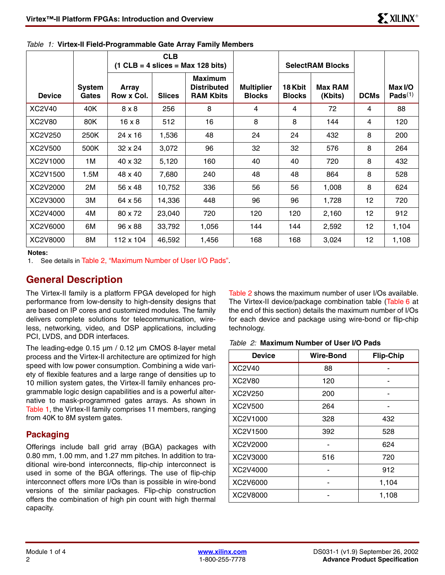|               |                        | <b>CLB</b><br>$(1$ CLB = 4 slices = Max 128 bits) |               |                                                          |                                    |                          | <b>SelectRAM Blocks</b>   |                 |                       |
|---------------|------------------------|---------------------------------------------------|---------------|----------------------------------------------------------|------------------------------------|--------------------------|---------------------------|-----------------|-----------------------|
| <b>Device</b> | <b>System</b><br>Gates | Array<br>Row x Col.                               | <b>Slices</b> | <b>Maximum</b><br><b>Distributed</b><br><b>RAM Kbits</b> | <b>Multiplier</b><br><b>Blocks</b> | 18 Kbit<br><b>Blocks</b> | <b>Max RAM</b><br>(Kbits) | <b>DCMs</b>     | Max I/O<br>Pads $(1)$ |
| XC2V40        | 40K                    | $8 \times 8$                                      | 256           | 8                                                        | 4                                  | 4                        | 72                        | 4               | 88                    |
| <b>XC2V80</b> | 80K                    | $16 \times 8$                                     | 512           | 16                                                       | 8                                  | 8                        | 144                       | 4               | 120                   |
| XC2V250       | 250K                   | 24 x 16                                           | 1,536         | 48                                                       | 24                                 | 24                       | 432                       | 8               | 200                   |
| XC2V500       | 500K                   | 32 x 24                                           | 3,072         | 96                                                       | 32                                 | 32                       | 576                       | 8               | 264                   |
| XC2V1000      | 1M                     | 40 x 32                                           | 5,120         | 160                                                      | 40                                 | 40                       | 720                       | 8               | 432                   |
| XC2V1500      | 1.5M                   | 48 x 40                                           | 7,680         | 240                                                      | 48                                 | 48                       | 864                       | 8               | 528                   |
| XC2V2000      | 2M                     | 56 x 48                                           | 10,752        | 336                                                      | 56                                 | 56                       | 1,008                     | 8               | 624                   |
| XC2V3000      | ЗM                     | 64 x 56                                           | 14,336        | 448                                                      | 96                                 | 96                       | 1,728                     | 12              | 720                   |
| XC2V4000      | 4M                     | 80 x 72                                           | 23,040        | 720                                                      | 120                                | 120                      | 2,160                     | 12              | 912                   |
| XC2V6000      | 6M                     | 96 x 88                                           | 33,792        | 1,056                                                    | 144                                | 144                      | 2,592                     | 12 <sub>2</sub> | 1,104                 |
| XC2V8000      | 8M                     | 112 x 104                                         | 46,592        | 1,456                                                    | 168                                | 168                      | 3,024                     | 12 <sub>2</sub> | 1,108                 |

<span id="page-1-0"></span>

|  | Table 1: Virtex-II Field-Programmable Gate Array Family Members |  |  |  |
|--|-----------------------------------------------------------------|--|--|--|
|  |                                                                 |  |  |  |

**Notes:** 

1. See details in [Table 2, "Maximum Number of User I/O Pads"](#page-1-1).

# **General Description**

The Virtex-II family is a platform FPGA developed for high performance from low-density to high-density designs that are based on IP cores and customized modules. The family delivers complete solutions for telecommunication, wireless, networking, video, and DSP applications, including PCI, LVDS, and DDR interfaces.

The leading-edge 0.15 µm / 0.12 µm CMOS 8-layer metal process and the Virtex-II architecture are optimized for high speed with low power consumption. Combining a wide variety of flexible features and a large range of densities up to 10 million system gates, the Virtex-II family enhances programmable logic design capabilities and is a powerful alternative to mask-programmed gates arrays. As shown in [Table 1,](#page-1-0) the Virtex-II family comprises 11 members, ranging from 40K to 8M system gates.

#### **Packaging**

Offerings include ball grid array (BGA) packages with 0.80 mm, 1.00 mm, and 1.27 mm pitches. In addition to traditional wire-bond interconnects, flip-chip interconnect is used in some of the BGA offerings. The use of flip-chip interconnect offers more I/Os than is possible in wire-bond versions of the similar packages. Flip-chip construction offers the combination of high pin count with high thermal capacity.

[Table 2](#page-1-1) shows the maximum number of user I/Os available. The Virtex-II device/package combination table [\(Table 6](#page-5-0) at the end of this section) details the maximum number of I/Os for each device and package using wire-bond or flip-chip technology.

<span id="page-1-1"></span>*Table 2:* **Maximum Number of User I/O Pads**

| <b>Device</b> | <b>Wire-Bond</b> | <b>Flip-Chip</b> |
|---------------|------------------|------------------|
| <b>XC2V40</b> | 88               |                  |
| <b>XC2V80</b> | 120              |                  |
| XC2V250       | 200              |                  |
| XC2V500       | 264              |                  |
| XC2V1000      | 328              | 432              |
| XC2V1500      | 392              | 528              |
| XC2V2000      |                  | 624              |
| XC2V3000      | 516              | 720              |
| XC2V4000      |                  | 912              |
| XC2V6000      |                  | 1,104            |
| XC2V8000      |                  | 1,108            |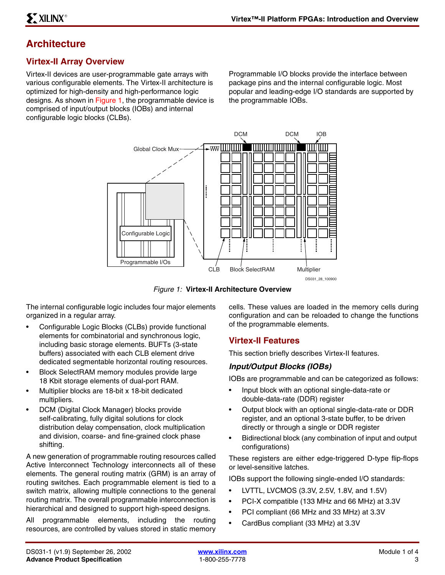# **Architecture**

#### **Virtex-II Array Overview**

Virtex-II devices are user-programmable gate arrays with various configurable elements. The Virtex-II architecture is optimized for high-density and high-performance logic designs. As shown in [Figure 1,](#page-2-0) the programmable device is comprised of input/output blocks (IOBs) and internal configurable logic blocks (CLBs).

Programmable I/O blocks provide the interface between package pins and the internal configurable logic. Most popular and leading-edge I/O standards are supported by the programmable IOBs.



*Figure 1:* **Virtex-II Architecture Overview**

<span id="page-2-0"></span>The internal configurable logic includes four major elements organized in a regular array.

- Configurable Logic Blocks (CLBs) provide functional elements for combinatorial and synchronous logic, including basic storage elements. BUFTs (3-state buffers) associated with each CLB element drive dedicated segmentable horizontal routing resources.
- Block SelectRAM memory modules provide large 18 Kbit storage elements of dual-port RAM.
- Multiplier blocks are 18-bit x 18-bit dedicated multipliers.
- DCM (Digital Clock Manager) blocks provide self-calibrating, fully digital solutions for clock distribution delay compensation, clock multiplication and division, coarse- and fine-grained clock phase shifting.

A new generation of programmable routing resources called Active Interconnect Technology interconnects all of these elements. The general routing matrix (GRM) is an array of routing switches. Each programmable element is tied to a switch matrix, allowing multiple connections to the general routing matrix. The overall programmable interconnection is hierarchical and designed to support high-speed designs.

All programmable elements, including the routing resources, are controlled by values stored in static memory

cells. These values are loaded in the memory cells during configuration and can be reloaded to change the functions of the programmable elements.

#### **Virtex-II Features**

This section briefly describes Virtex-II features.

#### *Input/Output Blocks (IOBs)*

IOBs are programmable and can be categorized as follows:

- Input block with an optional single-data-rate or double-data-rate (DDR) register
- Output block with an optional single-data-rate or DDR register, and an optional 3-state buffer, to be driven directly or through a single or DDR register
- Bidirectional block (any combination of input and output configurations)

These registers are either edge-triggered D-type flip-flops or level-sensitive latches.

IOBs support the following single-ended I/O standards:

- LVTTL, LVCMOS (3.3V, 2.5V, 1.8V, and 1.5V)
- PCI-X compatible (133 MHz and 66 MHz) at 3.3V
- PCI compliant (66 MHz and 33 MHz) at 3.3V
- CardBus compliant (33 MHz) at 3.3V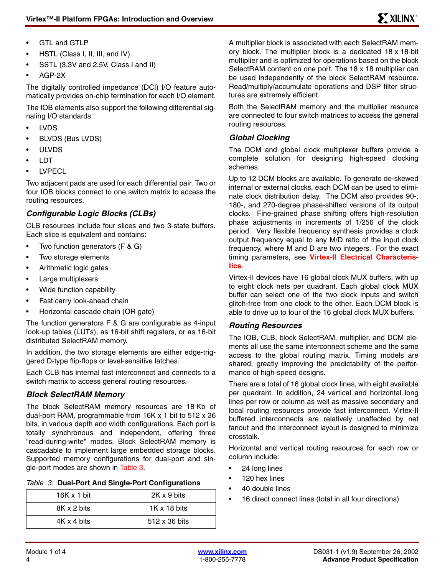- GTL and GTLP
- HSTL (Class I, II, III, and IV)
- SSTL (3.3V and 2.5V, Class I and II)
- AGP-2X

The digitally controlled impedance (DCI) I/O feature automatically provides on-chip termination for each I/O element.

The IOB elements also support the following differential signaling I/O standards:

- LVDS
- BLVDS (Bus LVDS)
- ULVDS
- LDT
- **LVPECL**

Two adjacent pads are used for each differential pair. Two or four IOB blocks connect to one switch matrix to access the routing resources.

#### *Configurable Logic Blocks (CLBs)*

CLB resources include four slices and two 3-state buffers. Each slice is equivalent and contains:

- Two function generators (F & G)
- Two storage elements
- Arithmetic logic gates
- Large multiplexers
- Wide function capability
- Fast carry look-ahead chain
- Horizontal cascade chain (OR gate)

The function generators F & G are configurable as 4-input look-up tables (LUTs), as 16-bit shift registers, or as 16-bit distributed SelectRAM memory.

In addition, the two storage elements are either edge-triggered D-type flip-flops or level-sensitive latches.

Each CLB has internal fast interconnect and connects to a switch matrix to access general routing resources.

#### *Block SelectRAM Memory*

The block SelectRAM memory resources are 18 Kb of dual-port RAM, programmable from 16K x 1 bit to 512 x 36 bits, in various depth and width configurations. Each port is totally synchronous and independent, offering three "read-during-write" modes. Block SelectRAM memory is cascadable to implement large embedded storage blocks. Supported memory configurations for dual-port and single-port modes are shown in [Table 3](#page-3-0).

#### <span id="page-3-0"></span>*Table 3:* **Dual-Port And Single-Port Configurations**

| $16K \times 1$ bit | 2K x 9 bits         |
|--------------------|---------------------|
| 8K x 2 bits        | $1K \times 18$ bits |
| 4K x 4 bits        | 512 x 36 bits       |

A multiplier block is associated with each SelectRAM memory block. The multiplier block is a dedicated 18 x 18-bit multiplier and is optimized for operations based on the block SelectRAM content on one port. The 18 x 18 multiplier can be used independently of the block SelectRAM resource. Read/multiply/accumulate operations and DSP filter structures are extremely efficient.

Both the SelectRAM memory and the multiplier resource are connected to four switch matrices to access the general routing resources.

#### *Global Clocking*

The DCM and global clock multiplexer buffers provide a complete solution for designing high-speed clocking schemes.

Up to 12 DCM blocks are available. To generate de-skewed internal or external clocks, each DCM can be used to eliminate clock distribution delay. The DCM also provides 90-, 180-, and 270-degree phase-shifted versions of its output clocks. Fine-grained phase shifting offers high-resolution phase adjustments in increments of 1/256 of the clock period. Very flexible frequency synthesis provides a clock output frequency equal to any M/D ratio of the input clock frequency, where M and D are two integers. For the exact timing parameters, see **Virtex-II Electrical Characteristics**.

Virtex-II devices have 16 global clock MUX buffers, with up to eight clock nets per quadrant. Each global clock MUX buffer can select one of the two clock inputs and switch glitch-free from one clock to the other. Each DCM block is able to drive up to four of the 16 global clock MUX buffers.

#### *Routing Resources*

The IOB, CLB, block SelectRAM, multiplier, and DCM elements all use the same interconnect scheme and the same access to the global routing matrix. Timing models are shared, greatly improving the predictability of the performance of high-speed designs.

There are a total of 16 global clock lines, with eight available per quadrant. In addition, 24 vertical and horizontal long lines per row or column as well as massive secondary and local routing resources provide fast interconnect. Virtex-II buffered interconnects are relatively unaffected by net fanout and the interconnect layout is designed to minimize crosstalk.

Horizontal and vertical routing resources for each row or column include:

- 24 long lines
- 120 hex lines
- 40 double lines
- 16 direct connect lines (total in all four directions)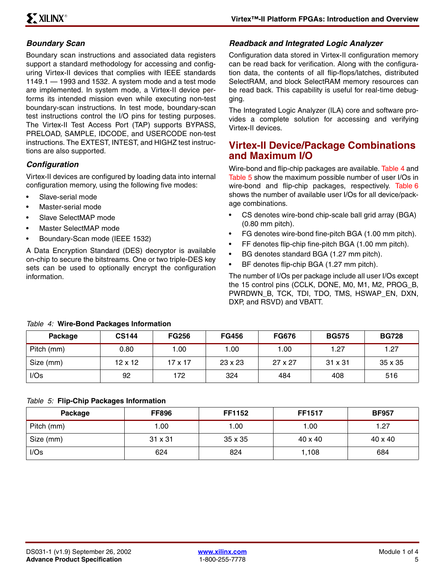#### *Boundary Scan*

Boundary scan instructions and associated data registers support a standard methodology for accessing and configuring Virtex-II devices that complies with IEEE standards 1149.1 — 1993 and 1532. A system mode and a test mode are implemented. In system mode, a Virtex-II device performs its intended mission even while executing non-test boundary-scan instructions. In test mode, boundary-scan test instructions control the I/O pins for testing purposes. The Virtex-II Test Access Port (TAP) supports BYPASS, PRELOAD, SAMPLE, IDCODE, and USERCODE non-test instructions. The EXTEST, INTEST, and HIGHZ test instructions are also supported.

#### *Configuration*

Virtex-II devices are configured by loading data into internal configuration memory, using the following five modes:

- Slave-serial mode
- Master-serial mode
- Slave SelectMAP mode
- Master SelectMAP mode
- Boundary-Scan mode (IEEE 1532)

A Data Encryption Standard (DES) decryptor is available on-chip to secure the bitstreams. One or two triple-DES key sets can be used to optionally encrypt the configuration information.

#### *Readback and Integrated Logic Analyzer*

Configuration data stored in Virtex-II configuration memory can be read back for verification. Along with the configuration data, the contents of all flip-flops/latches, distributed SelectRAM, and block SelectRAM memory resources can be read back. This capability is useful for real-time debugging.

The Integrated Logic Analyzer (ILA) core and software provides a complete solution for accessing and verifying Virtex-II devices.

### **Virtex-II Device/Package Combinations and Maximum I/O**

Wire-bond and flip-chip packages are available. [Table 4](#page-4-0) and [Table 5](#page-4-1) show the maximum possible number of user I/Os in wire-bond and flip-chip packages, respectively. [Table 6](#page-5-0) shows the number of available user I/Os for all device/package combinations.

- CS denotes wire-bond chip-scale ball grid array (BGA) (0.80 mm pitch).
- FG denotes wire-bond fine-pitch BGA (1.00 mm pitch).
- FF denotes flip-chip fine-pitch BGA (1.00 mm pitch).
- BG denotes standard BGA (1.27 mm pitch).
- BF denotes flip-chip BGA (1.27 mm pitch).

The number of I/Os per package include all user I/Os except the 15 control pins (CCLK, DONE, M0, M1, M2, PROG\_B, PWRDWN\_B, TCK, TDI, TDO, TMS, HSWAP\_EN, DXN, DXP, and RSVD) and VBATT.

| Package    | <b>CS144</b>   | <b>FG256</b> | <b>FG456</b>   | <b>FG676</b>   | <b>BG575</b>   | <b>BG728</b> |
|------------|----------------|--------------|----------------|----------------|----------------|--------------|
| Pitch (mm) | 0.80           | 0.00         | 1.00           | 1.00           | 27. ا          | 1.27         |
| Size (mm)  | $12 \times 12$ | 17 x 17      | $23 \times 23$ | $27 \times 27$ | $31 \times 31$ | 35 x 35      |
| I/Os       | 92             | 172          | 324            | 484            | 408            | 516          |

#### <span id="page-4-0"></span>*Table 4:* **Wire-Bond Packages Information**

#### <span id="page-4-1"></span>*Table 5:* **Flip-Chip Packages Information**

| Package    | <b>FF896</b> | <b>FF1152</b>  | <b>FF1517</b>  | <b>BF957</b>   |
|------------|--------------|----------------|----------------|----------------|
| Pitch (mm) | 1.00         | 1.00           | 1.00           | 1.27           |
| Size (mm)  | 31 x 31      | $35 \times 35$ | $40 \times 40$ | $40 \times 40$ |
| I/Os       | 624          | 824            | 1,108          | 684            |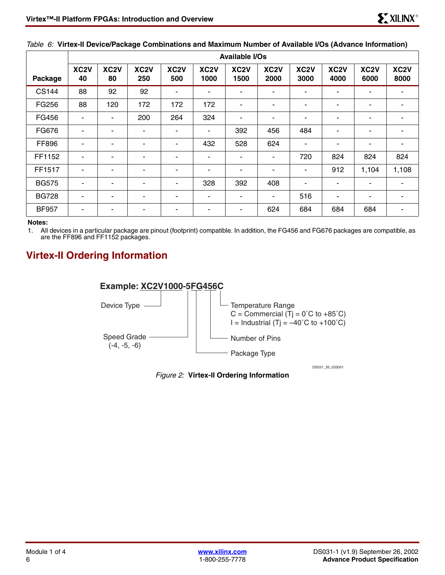|              | <b>Available I/Os</b>    |                         |                          |                          |                           |                           |                           |                           |                           |                           |                           |
|--------------|--------------------------|-------------------------|--------------------------|--------------------------|---------------------------|---------------------------|---------------------------|---------------------------|---------------------------|---------------------------|---------------------------|
| Package      | XC <sub>2</sub> V<br>40  | XC <sub>2</sub> V<br>80 | XC <sub>2</sub> V<br>250 | XC <sub>2</sub> V<br>500 | XC <sub>2</sub> V<br>1000 | XC <sub>2</sub> V<br>1500 | XC <sub>2</sub> V<br>2000 | XC <sub>2</sub> V<br>3000 | XC <sub>2</sub> V<br>4000 | XC <sub>2</sub> V<br>6000 | XC <sub>2</sub> V<br>8000 |
| <b>CS144</b> | 88                       | 92                      | 92                       | $\overline{\phantom{a}}$ | ٠                         | ۰                         |                           | ٠                         | ۰                         | ۰                         | ۰                         |
| FG256        | 88                       | 120                     | 172                      | 172                      | 172                       | ۰                         |                           | ٠                         | ۰                         | ۰                         | ۰                         |
| FG456        | $\overline{\phantom{a}}$ | ۰                       | 200                      | 264                      | 324                       | ۰                         |                           | ۰                         | ۰                         | $\blacksquare$            | $\blacksquare$            |
| FG676        | ٠                        | ۰                       | ۰                        | ٠                        | ۰                         | 392                       | 456                       | 484                       | ۰                         | ۰                         | ۰                         |
| FF896        | ٠                        | ۰                       | ۰                        | $\blacksquare$           | 432                       | 528                       | 624                       | ٠                         | ۰                         | $\overline{\phantom{a}}$  | ۰                         |
| FF1152       | $\overline{\phantom{a}}$ | ۰                       | ٠                        | ٠                        | ۰                         | -                         |                           | 720                       | 824                       | 824                       | 824                       |
| FF1517       | $\overline{\phantom{a}}$ | ۰                       | ۰                        | ٠                        | ۰                         | -                         |                           | ۰                         | 912                       | 1,104                     | 1,108                     |
| <b>BG575</b> | -                        | ۰                       | ۰                        |                          | 328                       | 392                       | 408                       | ٠                         | -                         | -                         | $\overline{\phantom{0}}$  |
| <b>BG728</b> |                          | ۰                       | ۰                        | -                        | ۰                         |                           |                           | 516                       | -                         | -                         | ۰                         |
| <b>BF957</b> |                          | ۰                       | ٠                        |                          |                           |                           | 624                       | 684                       | 684                       | 684                       | ۰.                        |

#### <span id="page-5-0"></span>*Table 6:* **Virtex-II Device/Package Combinations and Maximum Number of Available I/Os (Advance Information)**

#### **Notes:**

1. All devices in a particular package are pinout (footprint) compatible. In addition, the FG456 and FG676 packages are compatible, as are the FF896 and FF1152 packages.

# **Virtex-II Ordering Information**



DS031\_35\_033001

*Figure 2:* **Virtex-II Ordering Information**